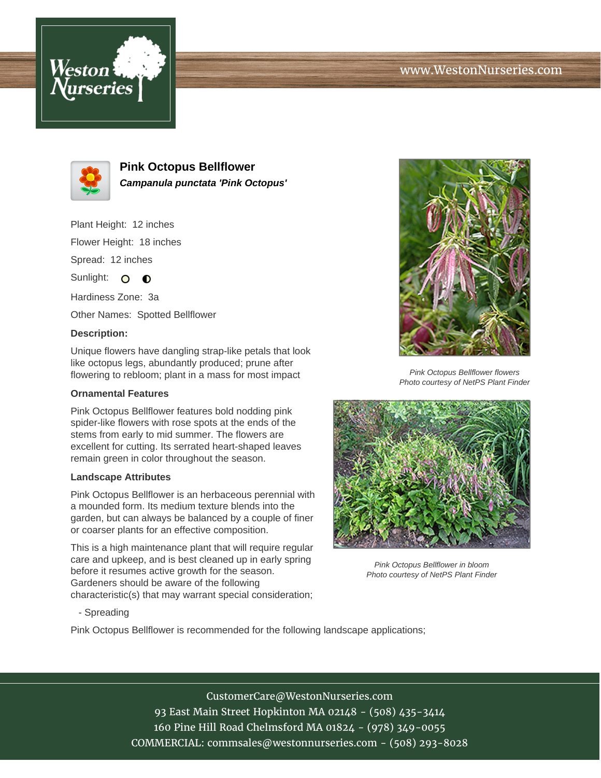# www.WestonNurseries.com





**Pink Octopus Bellflower Campanula punctata 'Pink Octopus'**

Plant Height: 12 inches Flower Height: 18 inches Spread: 12 inches

Sunlight:  $\Omega$  $\bullet$ 

Hardiness Zone: 3a

Other Names: Spotted Bellflower

### **Description:**

Unique flowers have dangling strap-like petals that look like octopus legs, abundantly produced; prune after flowering to rebloom; plant in a mass for most impact

### **Ornamental Features**

Pink Octopus Bellflower features bold nodding pink spider-like flowers with rose spots at the ends of the stems from early to mid summer. The flowers are excellent for cutting. Its serrated heart-shaped leaves remain green in color throughout the season.

#### **Landscape Attributes**

Pink Octopus Bellflower is an herbaceous perennial with a mounded form. Its medium texture blends into the garden, but can always be balanced by a couple of finer or coarser plants for an effective composition.

This is a high maintenance plant that will require regular care and upkeep, and is best cleaned up in early spring before it resumes active growth for the season. Gardeners should be aware of the following characteristic(s) that may warrant special consideration;



Pink Octopus Bellflower flowers Photo courtesy of NetPS Plant Finder



Pink Octopus Bellflower in bloom Photo courtesy of NetPS Plant Finder

- Spreading

Pink Octopus Bellflower is recommended for the following landscape applications;

CustomerCare@WestonNurseries.com 93 East Main Street Hopkinton MA 02148 - (508) 435-3414 160 Pine Hill Road Chelmsford MA 01824 - (978) 349-0055 COMMERCIAL: commsales@westonnurseries.com - (508) 293-8028